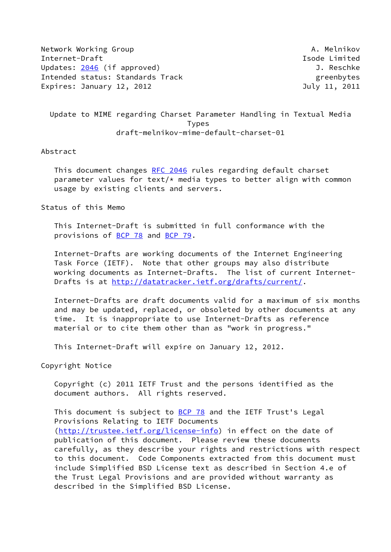Network Working Group **A. Melnikov** A. Melnikov Internet-Draft Isode Limited Updates: [2046](https://datatracker.ietf.org/doc/pdf/rfc2046) (if approved) and the settlement of the Updates: 2046 (if approved) Intended status: Standards Track greenbytes Expires: January 12, 2012 July 11, 2011

 Update to MIME regarding Charset Parameter Handling in Textual Media Types draft-melnikov-mime-default-charset-01

## Abstract

This document changes [RFC 2046](https://datatracker.ietf.org/doc/pdf/rfc2046) rules regarding default charset parameter values for text/ $*$  media types to better align with common usage by existing clients and servers.

## Status of this Memo

 This Internet-Draft is submitted in full conformance with the provisions of [BCP 78](https://datatracker.ietf.org/doc/pdf/bcp78) and [BCP 79](https://datatracker.ietf.org/doc/pdf/bcp79).

 Internet-Drafts are working documents of the Internet Engineering Task Force (IETF). Note that other groups may also distribute working documents as Internet-Drafts. The list of current Internet- Drafts is at<http://datatracker.ietf.org/drafts/current/>.

 Internet-Drafts are draft documents valid for a maximum of six months and may be updated, replaced, or obsoleted by other documents at any time. It is inappropriate to use Internet-Drafts as reference material or to cite them other than as "work in progress."

This Internet-Draft will expire on January 12, 2012.

Copyright Notice

 Copyright (c) 2011 IETF Trust and the persons identified as the document authors. All rights reserved.

This document is subject to **[BCP 78](https://datatracker.ietf.org/doc/pdf/bcp78)** and the IETF Trust's Legal Provisions Relating to IETF Documents [\(http://trustee.ietf.org/license-info](http://trustee.ietf.org/license-info)) in effect on the date of publication of this document. Please review these documents carefully, as they describe your rights and restrictions with respect to this document. Code Components extracted from this document must include Simplified BSD License text as described in Section 4.e of the Trust Legal Provisions and are provided without warranty as described in the Simplified BSD License.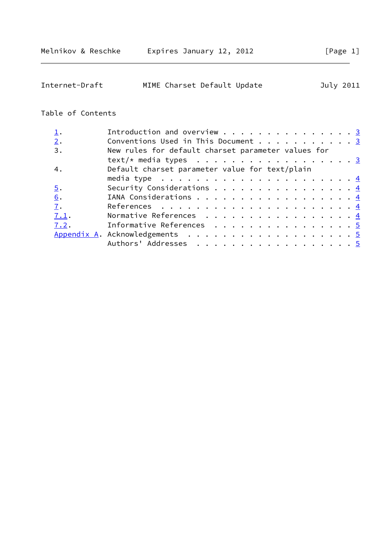| Internet-Draft | MIME Charset Default Update | July 2011 |
|----------------|-----------------------------|-----------|
|                |                             |           |

## Table of Contents

|      | Introduction and overview 3                        |  |
|------|----------------------------------------------------|--|
| 2.   | Conventions Used in This Document 3                |  |
| 3.   | New rules for default charset parameter values for |  |
|      | text/* media types $\ldots$ 3                      |  |
| 4.   | Default charset parameter value for text/plain     |  |
|      |                                                    |  |
| 5.   | Security Considerations $\frac{4}{5}$              |  |
| 6.   | IANA Considerations $\frac{4}{5}$                  |  |
| 7.   |                                                    |  |
| 7.1. | Normative References $\frac{4}{5}$                 |  |
| 7.2. | Informative References 5                           |  |
|      | Appendix A. Acknowledgements 5                     |  |
|      |                                                    |  |
|      |                                                    |  |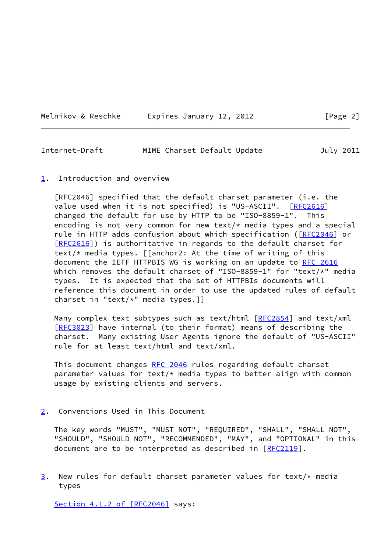<span id="page-2-1"></span>

| Internet-Draft | MIME Charset Default Update | July 2011 |
|----------------|-----------------------------|-----------|
|----------------|-----------------------------|-----------|

## <span id="page-2-0"></span>[1](#page-2-0). Introduction and overview

 [RFC2046] specified that the default charset parameter (i.e. the value used when it is not specified) is "US-ASCII". [\[RFC2616](https://datatracker.ietf.org/doc/pdf/rfc2616)] changed the default for use by HTTP to be "ISO-8859-1". This encoding is not very common for new text/ $*$  media types and a special rule in HTTP adds confusion about which specification ([\[RFC2046](https://datatracker.ietf.org/doc/pdf/rfc2046)] or [\[RFC2616](https://datatracker.ietf.org/doc/pdf/rfc2616)]) is authoritative in regards to the default charset for text/\* media types.  $\lceil \lceil \text{anchor2: At the time of writing of this} \rceil$  document the IETF HTTPBIS WG is working on an update to [RFC 2616](https://datatracker.ietf.org/doc/pdf/rfc2616) which removes the default charset of "ISO-8859-1" for "text/\*" media types. It is expected that the set of HTTPBIs documents will reference this document in order to use the updated rules of default charset in "text/\*" media types.]]

Many complex text subtypes such as text/html [\[RFC2854](https://datatracker.ietf.org/doc/pdf/rfc2854)] and text/xml [\[RFC3023](https://datatracker.ietf.org/doc/pdf/rfc3023)] have internal (to their format) means of describing the charset. Many existing User Agents ignore the default of "US-ASCII" rule for at least text/html and text/xml.

This document changes [RFC 2046](https://datatracker.ietf.org/doc/pdf/rfc2046) rules regarding default charset parameter values for text/ $*$  media types to better align with common usage by existing clients and servers.

<span id="page-2-2"></span>[2](#page-2-2). Conventions Used in This Document

 The key words "MUST", "MUST NOT", "REQUIRED", "SHALL", "SHALL NOT", "SHOULD", "SHOULD NOT", "RECOMMENDED", "MAY", and "OPTIONAL" in this document are to be interpreted as described in [\[RFC2119](https://datatracker.ietf.org/doc/pdf/rfc2119)].

<span id="page-2-3"></span> $3.$  $3.$  New rules for default charset parameter values for text/ $*$  media types

Section [4.1.2 of \[RFC2046\]](https://datatracker.ietf.org/doc/pdf/rfc2046#section-4.1.2) says: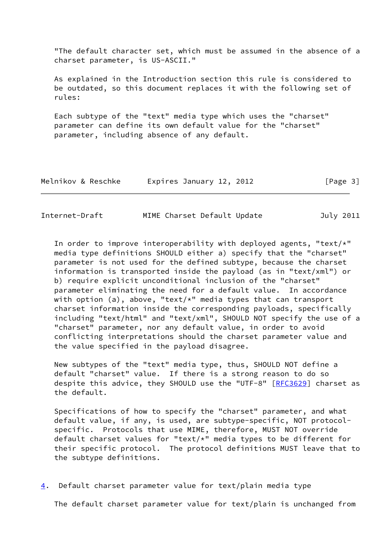"The default character set, which must be assumed in the absence of a charset parameter, is US-ASCII."

 As explained in the Introduction section this rule is considered to be outdated, so this document replaces it with the following set of rules:

 Each subtype of the "text" media type which uses the "charset" parameter can define its own default value for the "charset" parameter, including absence of any default.

| Melnikov & Reschke | Expires January 12, 2012 |  | [Page 3] |
|--------------------|--------------------------|--|----------|
|--------------------|--------------------------|--|----------|

<span id="page-3-0"></span>Internet-Draft MIME Charset Default Update July 2011

In order to improve interoperability with deployed agents, "text/ $*$ " media type definitions SHOULD either a) specify that the "charset" parameter is not used for the defined subtype, because the charset information is transported inside the payload (as in "text/xml") or b) require explicit unconditional inclusion of the "charset" parameter eliminating the need for a default value. In accordance with option (a), above, "text/\*" media types that can transport charset information inside the corresponding payloads, specifically including "text/html" and "text/xml", SHOULD NOT specify the use of a "charset" parameter, nor any default value, in order to avoid conflicting interpretations should the charset parameter value and the value specified in the payload disagree.

 New subtypes of the "text" media type, thus, SHOULD NOT define a default "charset" value. If there is a strong reason to do so despite this advice, they SHOULD use the "UTF-8" [\[RFC3629](https://datatracker.ietf.org/doc/pdf/rfc3629)] charset as the default.

 Specifications of how to specify the "charset" parameter, and what default value, if any, is used, are subtype-specific, NOT protocol specific. Protocols that use MIME, therefore, MUST NOT override default charset values for "text/\*" media types to be different for their specific protocol. The protocol definitions MUST leave that to the subtype definitions.

<span id="page-3-1"></span>[4](#page-3-1). Default charset parameter value for text/plain media type

The default charset parameter value for text/plain is unchanged from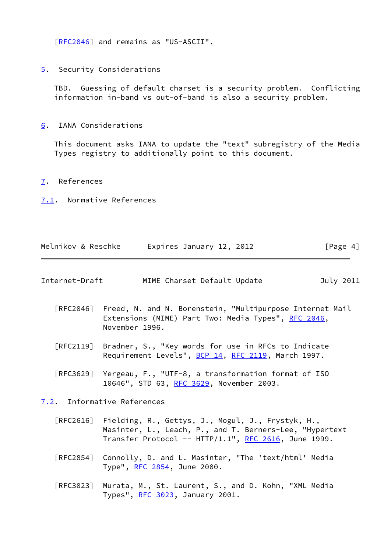[\[RFC2046](https://datatracker.ietf.org/doc/pdf/rfc2046)] and remains as "US-ASCII".

<span id="page-4-0"></span>[5](#page-4-0). Security Considerations

 TBD. Guessing of default charset is a security problem. Conflicting information in-band vs out-of-band is also a security problem.

<span id="page-4-1"></span>[6](#page-4-1). IANA Considerations

 This document asks IANA to update the "text" subregistry of the Media Types registry to additionally point to this document.

- <span id="page-4-2"></span>[7](#page-4-2). References
- <span id="page-4-3"></span>[7.1](#page-4-3). Normative References

| Melnikov & Reschke | Expires January 12, 2012 | [Page 4] |
|--------------------|--------------------------|----------|
|                    |                          |          |

<span id="page-4-5"></span>

| Internet-Draft |  | MIME Charset Default Update | July 2011 |
|----------------|--|-----------------------------|-----------|
|----------------|--|-----------------------------|-----------|

- [RFC2046] Freed, N. and N. Borenstein, "Multipurpose Internet Mail Extensions (MIME) Part Two: Media Types", [RFC 2046](https://datatracker.ietf.org/doc/pdf/rfc2046), November 1996.
- [RFC2119] Bradner, S., "Key words for use in RFCs to Indicate Requirement Levels", [BCP 14](https://datatracker.ietf.org/doc/pdf/bcp14), [RFC 2119](https://datatracker.ietf.org/doc/pdf/rfc2119), March 1997.
- [RFC3629] Yergeau, F., "UTF-8, a transformation format of ISO 10646", STD 63, [RFC 3629,](https://datatracker.ietf.org/doc/pdf/rfc3629) November 2003.

<span id="page-4-4"></span>[7.2](#page-4-4). Informative References

- [RFC2616] Fielding, R., Gettys, J., Mogul, J., Frystyk, H., Masinter, L., Leach, P., and T. Berners-Lee, "Hypertext Transfer Protocol --  $HTTP/1.1$ ", [RFC 2616,](https://datatracker.ietf.org/doc/pdf/rfc2616) June 1999.
- [RFC2854] Connolly, D. and L. Masinter, "The 'text/html' Media Type", [RFC 2854](https://datatracker.ietf.org/doc/pdf/rfc2854), June 2000.
- [RFC3023] Murata, M., St. Laurent, S., and D. Kohn, "XML Media Types", [RFC 3023,](https://datatracker.ietf.org/doc/pdf/rfc3023) January 2001.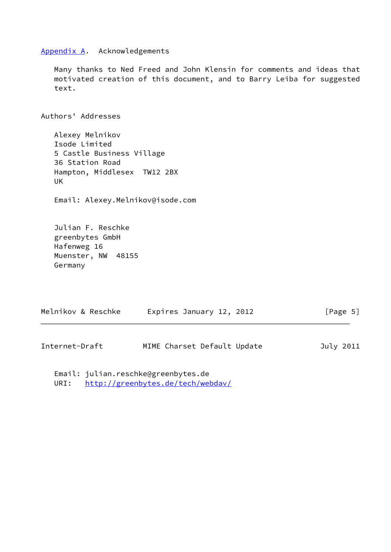<span id="page-5-0"></span>[Appendix A.](#page-5-0) Acknowledgements

 Many thanks to Ned Freed and John Klensin for comments and ideas that motivated creation of this document, and to Barry Leiba for suggested text.

Authors' Addresses

 Alexey Melnikov Isode Limited 5 Castle Business Village 36 Station Road Hampton, Middlesex TW12 2BX UK

Email: Alexey.Melnikov@isode.com

 Julian F. Reschke greenbytes GmbH Hafenweg 16 Muenster, NW 48155 Germany

| Melnikov & Reschke | Expires January 12, 2012    | [Page 5]  |  |
|--------------------|-----------------------------|-----------|--|
| Internet-Draft     | MIME Charset Default Update | July 2011 |  |

 Email: julian.reschke@greenbytes.de URI: <http://greenbytes.de/tech/webdav/>